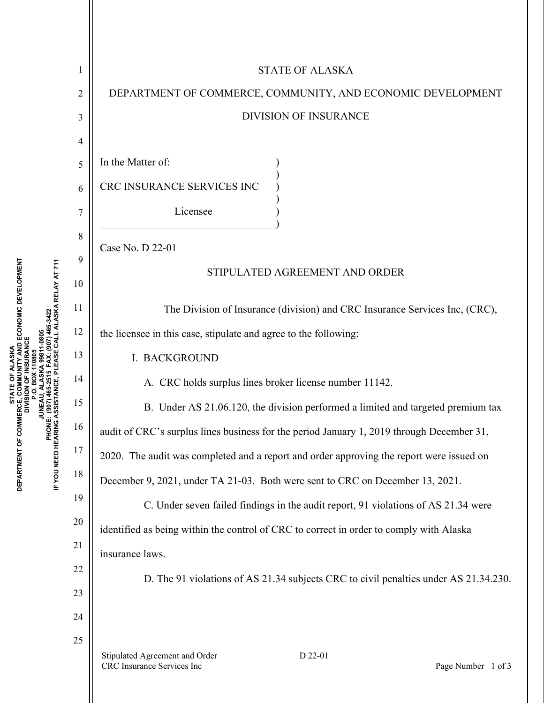|                          |                  | <b>STATE OF ALASKA</b>                                                                      |  |  |  |  |
|--------------------------|------------------|---------------------------------------------------------------------------------------------|--|--|--|--|
|                          | $\overline{2}$   | DEPARTMENT OF COMMERCE, COMMUNITY, AND ECONOMIC DEVELOPMENT<br><b>DIVISION OF INSURANCE</b> |  |  |  |  |
|                          | 3                |                                                                                             |  |  |  |  |
|                          | 4                |                                                                                             |  |  |  |  |
|                          | 5                | In the Matter of:                                                                           |  |  |  |  |
|                          | 6                | CRC INSURANCE SERVICES INC                                                                  |  |  |  |  |
|                          | $\boldsymbol{7}$ | Licensee                                                                                    |  |  |  |  |
|                          | 8                | Case No. D 22-01                                                                            |  |  |  |  |
|                          | 9                |                                                                                             |  |  |  |  |
|                          | 10               | STIPULATED AGREEMENT AND ORDER                                                              |  |  |  |  |
|                          | 11               | The Division of Insurance (division) and CRC Insurance Services Inc, (CRC),                 |  |  |  |  |
|                          | 12               | the licensee in this case, stipulate and agree to the following:                            |  |  |  |  |
|                          | 13               | <b>I. BACKGROUND</b>                                                                        |  |  |  |  |
|                          | 14               | A. CRC holds surplus lines broker license number 11142.                                     |  |  |  |  |
|                          | 15               | B. Under AS 21.06.120, the division performed a limited and targeted premium tax            |  |  |  |  |
| りりとこと                    | 16               | audit of CRC's surplus lines business for the period January 1, 2019 through December 31,   |  |  |  |  |
|                          | 17               | 2020. The audit was completed and a report and order approving the report were issued on    |  |  |  |  |
| <br> <br> <br> <br> <br> | 18               | December 9, 2021, under TA 21-03. Both were sent to CRC on December 13, 2021.               |  |  |  |  |
|                          | 19               | C. Under seven failed findings in the audit report, 91 violations of AS 21.34 were          |  |  |  |  |
|                          | $20\,$           | identified as being within the control of CRC to correct in order to comply with Alaska     |  |  |  |  |
|                          | 21               | insurance laws.                                                                             |  |  |  |  |
|                          | 22               | D. The 91 violations of AS 21.34 subjects CRC to civil penalties under AS 21.34.230.        |  |  |  |  |
|                          | 23               |                                                                                             |  |  |  |  |
|                          | 24               |                                                                                             |  |  |  |  |
|                          | 25               | D 22-01<br>Stipulated Agreement and Order                                                   |  |  |  |  |
|                          |                  | CRC Insurance Services Inc<br>Page Number 1 of 3                                            |  |  |  |  |
|                          |                  |                                                                                             |  |  |  |  |

STATE OF ALASKA<br>DEPARTMENT OF COMMERCE, COMMUNITY AND ECONOMIC DEVELOPMENT<br>DIVISION OF INSURANCE<br>DIVISION OF INSURANCE<br>PHONE: (907) 46-2515 F.A9: 107) 465-3422<br>IF YOU NEED HEARING ASSISTANCE, PLEASE CALL ALASKA RELAY AT 71 **DEPARTMENT OF COMMERCE, COMMUNITY AND ECONOMIC DEVELOPMENT IF YOU NEED HEARING ASSISTANCE, PLEASE CALL ALASKA RELAY AT 711 PHONE: (907) 465-2515 FAX: (907) 465-3422 JUNEAU, ALASKA 99811-0805 DIVISION OF INSURANCE STATE OF ALASKA P.O. BOX 110805**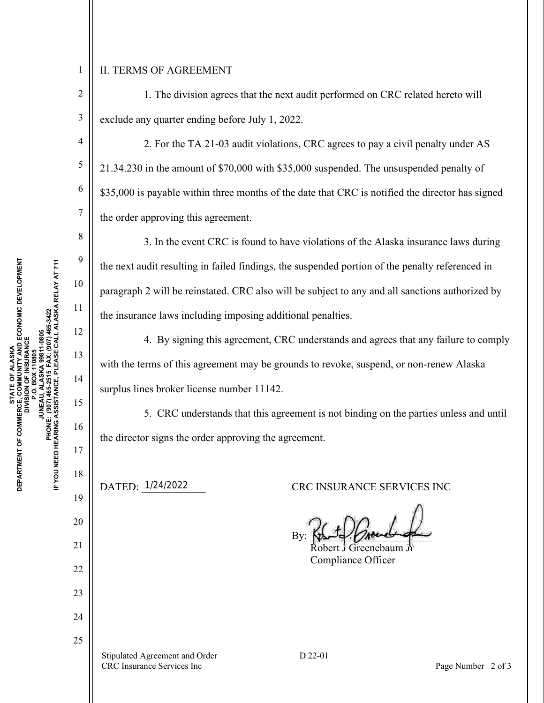## II. TERMS OF AGREEMENT

1

2

3

4

5

6

7

8

9

10

11

12

13

14

15

16

17

18

19

20

21

22

23

24

25

 1. The division agrees that the next audit performed on CRC related hereto will exclude any quarter ending before July 1, 2022.

 2. For the TA 21-03 audit violations, CRC agrees to pay a civil penalty under AS 21.34.230 in the amount of \$70,000 with \$35,000 suspended. The unsuspended penalty of \$35,000 is payable within three months of the date that CRC is notified the director has signed the order approving this agreement.

 3. In the event CRC is found to have violations of the Alaska insurance laws during the next audit resulting in failed findings, the suspended portion of the penalty referenced in paragraph 2 will be reinstated. CRC also will be subject to any and all sanctions authorized by the insurance laws including imposing additional penalties.

 4. By signing this agreement, CRC understands and agrees that any failure to comply with the terms of this agreement may be grounds to revoke, suspend, or non-renew Alaska surplus lines broker license number 11142.

 5. CRC understands that this agreement is not binding on the parties unless and until the director signs the order approving the agreement.

DATED: 1/24/2022

CRC INSURANCE SERVICES INC

 $By: \frac{1}{2}$   $\frac{1}{2}$   $\frac{1}{2}$   $\frac{1}{2}$   $\frac{1}{2}$   $\frac{1}{2}$ 

 Robert J Greenebaum Jr Compliance Officer